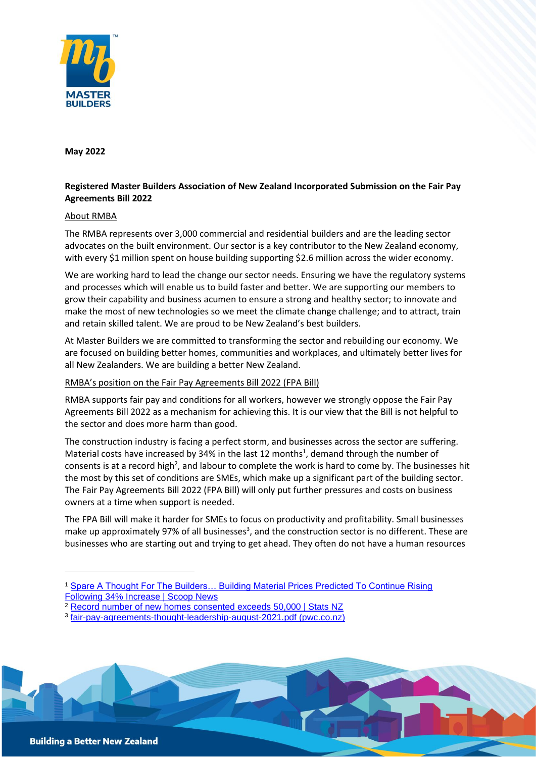

**May 2022**

## **Registered Master Builders Association of New Zealand Incorporated Submission on the Fair Pay Agreements Bill 2022**

## About RMBA

The RMBA represents over 3,000 commercial and residential builders and are the leading sector advocates on the built environment. Our sector is a key contributor to the New Zealand economy, with every \$1 million spent on house building supporting \$2.6 million across the wider economy.

We are working hard to lead the change our sector needs. Ensuring we have the regulatory systems and processes which will enable us to build faster and better. We are supporting our members to grow their capability and business acumen to ensure a strong and healthy sector; to innovate and make the most of new technologies so we meet the climate change challenge; and to attract, train and retain skilled talent. We are proud to be New Zealand's best builders.

At Master Builders we are committed to transforming the sector and rebuilding our economy. We are focused on building better homes, communities and workplaces, and ultimately better lives for all New Zealanders. We are building a better New Zealand.

## RMBA's position on the Fair Pay Agreements Bill 2022 (FPA Bill)

RMBA supports fair pay and conditions for all workers, however we strongly oppose the Fair Pay Agreements Bill 2022 as a mechanism for achieving this. It is our view that the Bill is not helpful to the sector and does more harm than good.

The construction industry is facing a perfect storm, and businesses across the sector are suffering. Material costs have increased by 34% in the last 12 months<sup>1</sup>, demand through the number of consents is at a record high<sup>2</sup>, and labour to complete the work is hard to come by. The businesses hit the most by this set of conditions are SMEs, which make up a significant part of the building sector. The Fair Pay Agreements Bill 2022 (FPA Bill) will only put further pressures and costs on business owners at a time when support is needed.

The FPA Bill will make it harder for SMEs to focus on productivity and profitability. Small businesses make up approximately 97% of all businesses<sup>3</sup>, and the construction sector is no different. These are businesses who are starting out and trying to get ahead. They often do not have a human resources

<sup>3</sup> fair-pay-agreements-thought-leadership-august-2021.pdf (pwc.co.nz)



<sup>&</sup>lt;sup>1</sup> Spare A Thought For The Builders... Building Material Prices Predicted To Continue Rising Following 34% Increase | Scoop News

<sup>&</sup>lt;sup>2</sup> Record number of new homes consented exceeds 50,000 | Stats NZ